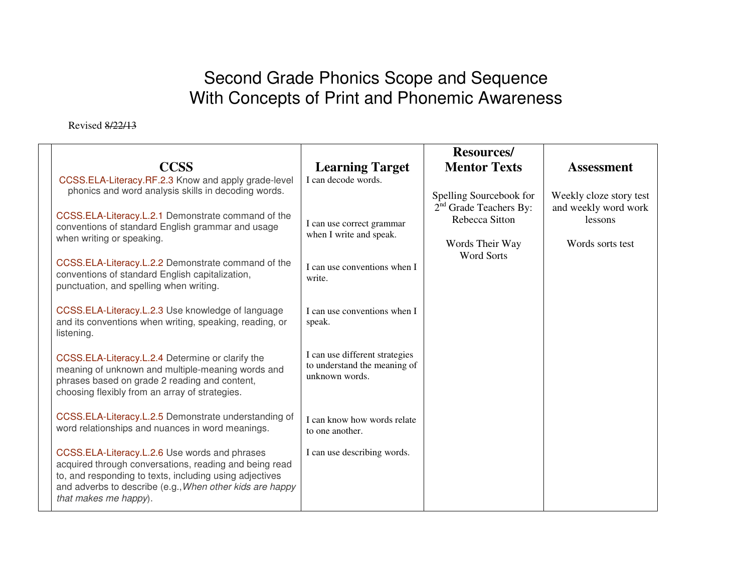## Second Grade Phonics Scope and Sequence With Concepts of Print and Phonemic Awareness

Revised 8/22/13

|                                                                                                                     |                                                      | <b>Resources/</b>                          |                                 |
|---------------------------------------------------------------------------------------------------------------------|------------------------------------------------------|--------------------------------------------|---------------------------------|
| <b>CCSS</b>                                                                                                         | <b>Learning Target</b>                               | <b>Mentor Texts</b>                        | <b>Assessment</b>               |
| CCSS.ELA-Literacy.RF.2.3 Know and apply grade-level<br>phonics and word analysis skills in decoding words.          | I can decode words.                                  |                                            |                                 |
|                                                                                                                     |                                                      | Spelling Sourcebook for                    | Weekly cloze story test         |
| CCSS.ELA-Literacy.L.2.1 Demonstrate command of the                                                                  |                                                      | $2nd$ Grade Teachers By:<br>Rebecca Sitton | and weekly word work<br>lessons |
| conventions of standard English grammar and usage<br>when writing or speaking.                                      | I can use correct grammar<br>when I write and speak. |                                            |                                 |
|                                                                                                                     |                                                      | Words Their Way<br><b>Word Sorts</b>       | Words sorts test                |
| CCSS.ELA-Literacy.L.2.2 Demonstrate command of the                                                                  | I can use conventions when I                         |                                            |                                 |
| conventions of standard English capitalization,<br>punctuation, and spelling when writing.                          | write.                                               |                                            |                                 |
|                                                                                                                     |                                                      |                                            |                                 |
| CCSS.ELA-Literacy.L.2.3 Use knowledge of language<br>and its conventions when writing, speaking, reading, or        | I can use conventions when I                         |                                            |                                 |
| listening.                                                                                                          | speak.                                               |                                            |                                 |
|                                                                                                                     | I can use different strategies                       |                                            |                                 |
| CCSS.ELA-Literacy.L.2.4 Determine or clarify the<br>meaning of unknown and multiple-meaning words and               | to understand the meaning of                         |                                            |                                 |
| phrases based on grade 2 reading and content,                                                                       | unknown words.                                       |                                            |                                 |
| choosing flexibly from an array of strategies.                                                                      |                                                      |                                            |                                 |
| CCSS.ELA-Literacy.L.2.5 Demonstrate understanding of                                                                | I can know how words relate                          |                                            |                                 |
| word relationships and nuances in word meanings.                                                                    | to one another.                                      |                                            |                                 |
| CCSS.ELA-Literacy.L.2.6 Use words and phrases                                                                       | I can use describing words.                          |                                            |                                 |
| acquired through conversations, reading and being read                                                              |                                                      |                                            |                                 |
| to, and responding to texts, including using adjectives<br>and adverbs to describe (e.g., When other kids are happy |                                                      |                                            |                                 |
| that makes me happy).                                                                                               |                                                      |                                            |                                 |
|                                                                                                                     |                                                      |                                            |                                 |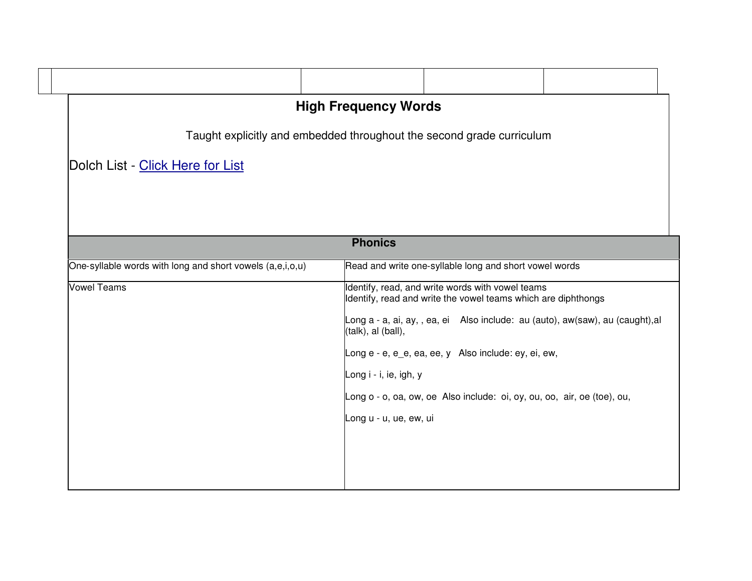| <b>High Frequency Words</b>                                           |                                                                                                                   |  |  |  |  |
|-----------------------------------------------------------------------|-------------------------------------------------------------------------------------------------------------------|--|--|--|--|
| Taught explicitly and embedded throughout the second grade curriculum |                                                                                                                   |  |  |  |  |
| Dolch List - Click Here for List                                      |                                                                                                                   |  |  |  |  |
|                                                                       |                                                                                                                   |  |  |  |  |
|                                                                       |                                                                                                                   |  |  |  |  |
| <b>Phonics</b>                                                        |                                                                                                                   |  |  |  |  |
|                                                                       |                                                                                                                   |  |  |  |  |
| One-syllable words with long and short vowels (a,e,i,o,u)             | Read and write one-syllable long and short vowel words                                                            |  |  |  |  |
| <b>Vowel Teams</b>                                                    | Identify, read, and write words with vowel teams<br>Identify, read and write the vowel teams which are diphthongs |  |  |  |  |
|                                                                       | Long a - a, ai, ay, , ea, ei Also include: au (auto), aw(saw), au (caught), al<br>(talk), al (ball),              |  |  |  |  |
|                                                                       | Long e - e, e_e, ea, ee, y Also include: ey, ei, ew,                                                              |  |  |  |  |
|                                                                       | Long i - i, ie, igh, y                                                                                            |  |  |  |  |
|                                                                       | Long o - o, oa, ow, oe Also include: oi, oy, ou, oo, air, oe (toe), ou,                                           |  |  |  |  |
|                                                                       | Long u - u, ue, ew, ui                                                                                            |  |  |  |  |
|                                                                       |                                                                                                                   |  |  |  |  |
|                                                                       |                                                                                                                   |  |  |  |  |
|                                                                       |                                                                                                                   |  |  |  |  |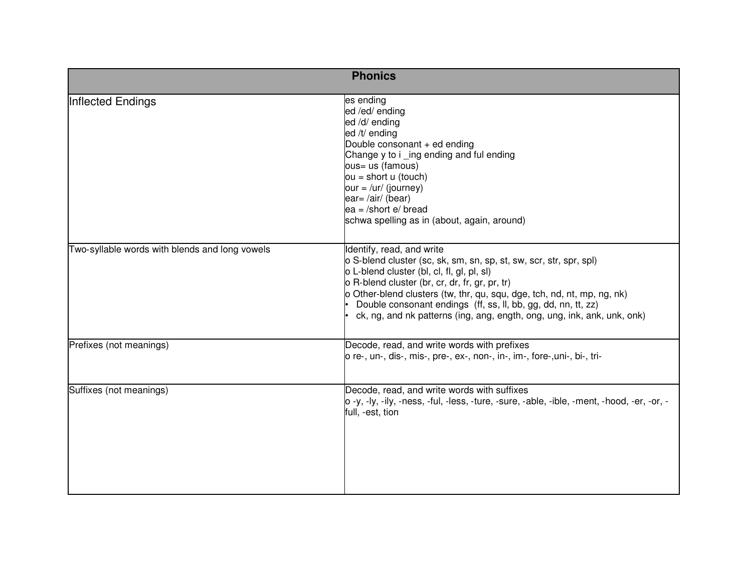| <b>Phonics</b>                                 |                                                                                                                                                                                                                                                                                                                                                                                                                        |  |  |  |
|------------------------------------------------|------------------------------------------------------------------------------------------------------------------------------------------------------------------------------------------------------------------------------------------------------------------------------------------------------------------------------------------------------------------------------------------------------------------------|--|--|--|
| Inflected Endings                              | es ending<br>ed /ed/ ending<br>ed /d/ ending<br>ed /t/ ending<br>Double consonant + ed ending<br>Change y to i _ing ending and ful ending<br>ous= us (famous)<br>$ou = short u (touch)$<br>$our = /ur / (journey)$<br>ear=/air/(bear)<br>$ea = /$ short $e/$ bread<br>schwa spelling as in (about, again, around)                                                                                                      |  |  |  |
| Two-syllable words with blends and long vowels | Identify, read, and write<br>o S-blend cluster (sc, sk, sm, sn, sp, st, sw, scr, str, spr, spl)<br>o L-blend cluster (bl, cl, fl, gl, pl, sl)<br>o R-blend cluster (br, cr, dr, fr, gr, pr, tr)<br>o Other-blend clusters (tw, thr, qu, squ, dge, tch, nd, nt, mp, ng, nk)<br>Double consonant endings (ff, ss, ll, bb, gg, dd, nn, tt, zz)<br>ck, ng, and nk patterns (ing, ang, ength, ong, ung, ink, ank, unk, onk) |  |  |  |
| Prefixes (not meanings)                        | Decode, read, and write words with prefixes<br>o re-, un-, dis-, mis-, pre-, ex-, non-, in-, im-, fore-, uni-, bi-, tri-                                                                                                                                                                                                                                                                                               |  |  |  |
| Suffixes (not meanings)                        | Decode, read, and write words with suffixes<br>o -y, -ly, -ily, -ness, -ful, -less, -ture, -sure, -able, -ible, -ment, -hood, -er, -or, -<br>full, -est, tion                                                                                                                                                                                                                                                          |  |  |  |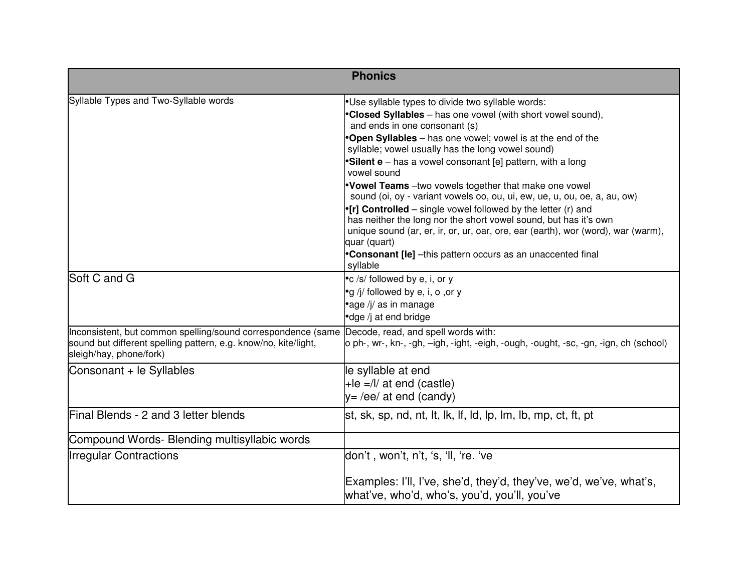| <b>Phonics</b>                                                                                                                                             |                                                                                                                                                                                                                                                                                                                                                                                                                                                                                                                                                                                                                                                                                                                                                                                                                           |  |
|------------------------------------------------------------------------------------------------------------------------------------------------------------|---------------------------------------------------------------------------------------------------------------------------------------------------------------------------------------------------------------------------------------------------------------------------------------------------------------------------------------------------------------------------------------------------------------------------------------------------------------------------------------------------------------------------------------------------------------------------------------------------------------------------------------------------------------------------------------------------------------------------------------------------------------------------------------------------------------------------|--|
| Syllable Types and Two-Syllable words                                                                                                                      | .Use syllable types to divide two syllable words:<br>•Closed Syllables - has one vowel (with short vowel sound),<br>and ends in one consonant (s)<br><b>Open Syllables</b> - has one vowel; vowel is at the end of the<br>syllable; vowel usually has the long vowel sound)<br>•Silent e – has a vowel consonant [e] pattern, with a long<br>vowel sound<br>.Vowel Teams -two vowels together that make one vowel<br>sound (oi, oy - variant vowels oo, ou, ui, ew, ue, u, ou, oe, a, au, ow)<br>•[r] Controlled – single vowel followed by the letter $(r)$ and<br>has neither the long nor the short vowel sound, but has it's own<br>unique sound (ar, er, ir, or, ur, oar, ore, ear (earth), wor (word), war (warm),<br>quar (quart)<br><b>Consonant [le]</b> -this pattern occurs as an unaccented final<br>syllable |  |
| Soft C and G                                                                                                                                               | •c /s/ followed by e, i, or y<br>•g /j/ followed by e, i, o , or y<br>•age /j/ as in manage<br>•dge /j at end bridge                                                                                                                                                                                                                                                                                                                                                                                                                                                                                                                                                                                                                                                                                                      |  |
| Inconsistent, but common spelling/sound correspondence (same<br>sound but different spelling pattern, e.g. know/no, kite/light,<br>sleigh/hay, phone/fork) | Decode, read, and spell words with:<br>o ph-, wr-, kn-, -gh, –igh, -ight, -eigh, -ough, -ought, -sc, -gn, -ign, ch (school)                                                                                                                                                                                                                                                                                                                                                                                                                                                                                                                                                                                                                                                                                               |  |
| Consonant + le Syllables                                                                                                                                   | le syllable at end<br>$+$ le =/l/ at end (castle)<br>$y = \sqrt{ee}$ at end (candy)                                                                                                                                                                                                                                                                                                                                                                                                                                                                                                                                                                                                                                                                                                                                       |  |
| Final Blends - 2 and 3 letter blends                                                                                                                       | st, sk, sp, nd, nt, lt, lk, lf, ld, lp, lm, lb, mp, ct, ft, pt                                                                                                                                                                                                                                                                                                                                                                                                                                                                                                                                                                                                                                                                                                                                                            |  |
| Compound Words- Blending multisyllabic words                                                                                                               |                                                                                                                                                                                                                                                                                                                                                                                                                                                                                                                                                                                                                                                                                                                                                                                                                           |  |
| <b>Irregular Contractions</b>                                                                                                                              | don't , won't, n't, 's, 'll, 're. 've<br>Examples: I'll, I've, she'd, they'd, they've, we'd, we've, what's,                                                                                                                                                                                                                                                                                                                                                                                                                                                                                                                                                                                                                                                                                                               |  |
|                                                                                                                                                            | what've, who'd, who's, you'd, you'll, you've                                                                                                                                                                                                                                                                                                                                                                                                                                                                                                                                                                                                                                                                                                                                                                              |  |